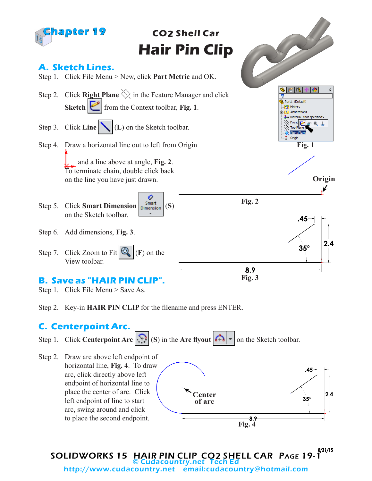

- Step 1. Click File Menu > Save As.
- Step 2. Key-in **HAIR PIN CLIP** for the filename and press ENTER.

## **C. Centerpoint Arc.**

Step 1. Click **Centerpoint Arc**  $\left|\sum_{i=1}^{n}$  (S) in the **Arc** flyout  $\left|\sum_{i=1}^{n}$  on the Sketch toolbar.

Step 2. Draw arc above left endpoint of horizontal line, **Fig. 4**. To draw  $.45$ arc, click directly above left endpoint of horizontal line to place the center of arc. Click **Center**  $2.4$  $35^\circ$ left endpoint of line to start **of arc** arc, swing around and click to place the second endpoint.  $8.9$ **Fig. 4**

SOLIDWORKS 15 HAIR PIN CLIP CO2 SHELL CAR Page 19-1 8/21/15 © Cudacountry.net<br>:http://www.cudacountry.net email email:cudacountry@hotmail.com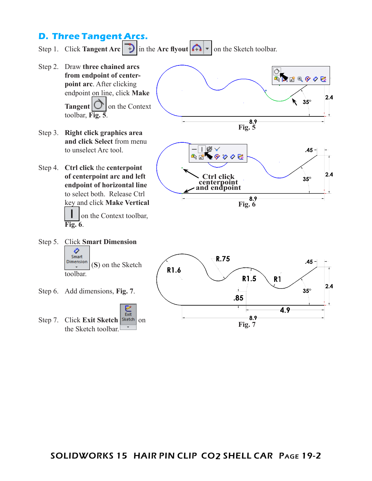## **D. Three Tangent Arcs.**

Step 1. Click **Tangent Arc**  $\begin{bmatrix} 1 \end{bmatrix}$  in the **Arc** flyout  $\begin{bmatrix} 1 \end{bmatrix}$   $\begin{bmatrix} 1 \end{bmatrix}$  on the Sketch toolbar.

Step 2. Draw **three chained arcs 0.**<br>『ズズ』 しょうに **from endpoint of centerpoint arc**. After clicking endpoint on line, click **Make**   $2.4$  $\approx 35^{\circ}$ **Tangent**  $\cup$  on the Context toolbar, **Fig. 5**. L 8.9 **Fig. 5** Step 3. **Right click graphics area and click Select** from menu Ⅰ路∀ to unselect Arc tool.  $.45 -$ ■ボングククゼ Step 4. **Ctrl click** the **centerpoint**   $2.4$ **of centerpoint arc and left Ctrl click**  $35^\circ$ **centerpoint endpoint of horizontal line and endpoint** to select both. Release Ctrl  $8.9$ key and click **Make Vertical Fig. 6** on the Context toolbar, **Fig. 6**. Step 5. Click **Smart Dimension**  ♦ Smart R.75  $.45 -$ Dimension (**S**) on the Sketch R1.6 toolbar. R1.5  $R<sub>1</sub>$  $2.4$  $35^\circ$ Step 6. Add dimensions, **Fig. 7**.  $.85$ ┕ 4.9 Exit 8.9 Step 7. Click **Exit Sketch Sketch** on **Fig. 7**the Sketch toolbar.